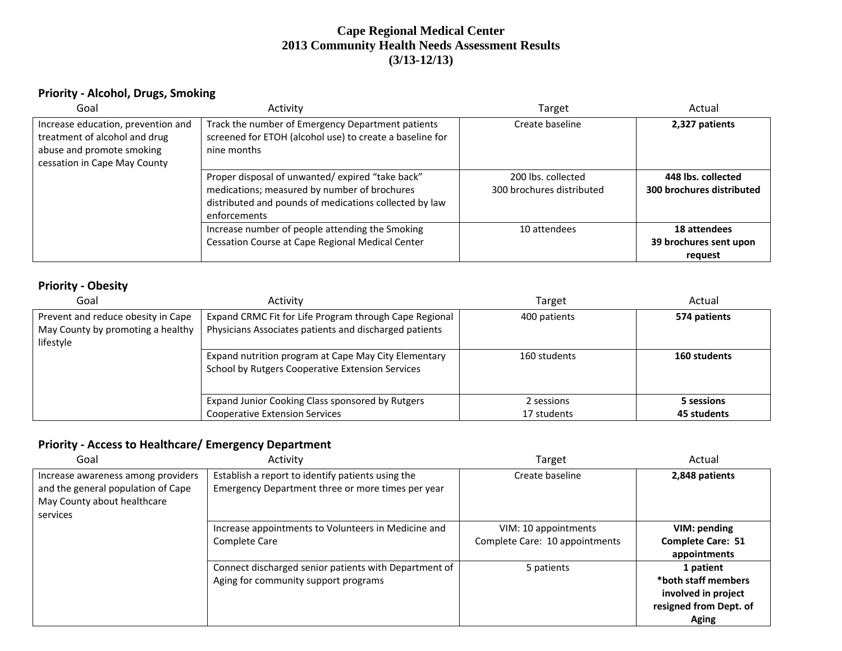### **Cape Regional Medical Center 2013 Community Health Needs Assessment Results (3/13-12/13)**

#### **Priority ‐ Alcohol, Drugs, Smoking**

| Goal                                                                                                                             | Activity                                                                                                                                                                  | Target                                          | Actual                                            |
|----------------------------------------------------------------------------------------------------------------------------------|---------------------------------------------------------------------------------------------------------------------------------------------------------------------------|-------------------------------------------------|---------------------------------------------------|
| Increase education, prevention and<br>treatment of alcohol and drug<br>abuse and promote smoking<br>cessation in Cape May County | Track the number of Emergency Department patients<br>screened for ETOH (alcohol use) to create a baseline for<br>nine months                                              | Create baseline                                 | 2,327 patients                                    |
|                                                                                                                                  | Proper disposal of unwanted/expired "take back"<br>medications; measured by number of brochures<br>distributed and pounds of medications collected by law<br>enforcements | 200 lbs. collected<br>300 brochures distributed | 448 lbs. collected<br>300 brochures distributed   |
|                                                                                                                                  | Increase number of people attending the Smoking<br>Cessation Course at Cape Regional Medical Center                                                                       | 10 attendees                                    | 18 attendees<br>39 brochures sent upon<br>request |

#### **Priority ‐ Obesity**

| Goal                                                                                 | Activity                                                                                                         | Target       | Actual       |
|--------------------------------------------------------------------------------------|------------------------------------------------------------------------------------------------------------------|--------------|--------------|
| Prevent and reduce obesity in Cape<br>May County by promoting a healthy<br>lifestyle | Expand CRMC Fit for Life Program through Cape Regional<br>Physicians Associates patients and discharged patients | 400 patients | 574 patients |
|                                                                                      | Expand nutrition program at Cape May City Elementary<br><b>School by Rutgers Cooperative Extension Services</b>  | 160 students | 160 students |
|                                                                                      | Expand Junior Cooking Class sponsored by Rutgers                                                                 | 2 sessions   | 5 sessions   |
|                                                                                      | <b>Cooperative Extension Services</b>                                                                            | 17 students  | 45 students  |

### **Priority ‐ Access to Healthcare/ Emergency Department**

| Goal                                                                                                                | Activity                                                                                               | <b>Target</b>                                          | Actual                                                                                     |
|---------------------------------------------------------------------------------------------------------------------|--------------------------------------------------------------------------------------------------------|--------------------------------------------------------|--------------------------------------------------------------------------------------------|
| Increase awareness among providers<br>and the general population of Cape<br>May County about healthcare<br>services | Establish a report to identify patients using the<br>Emergency Department three or more times per year | Create baseline                                        | 2,848 patients                                                                             |
|                                                                                                                     | Increase appointments to Volunteers in Medicine and<br>Complete Care                                   | VIM: 10 appointments<br>Complete Care: 10 appointments | VIM: pending<br><b>Complete Care: 51</b><br>appointments                                   |
|                                                                                                                     | Connect discharged senior patients with Department of<br>Aging for community support programs          | 5 patients                                             | 1 patient<br>*both staff members<br>involved in project<br>resigned from Dept. of<br>Aging |